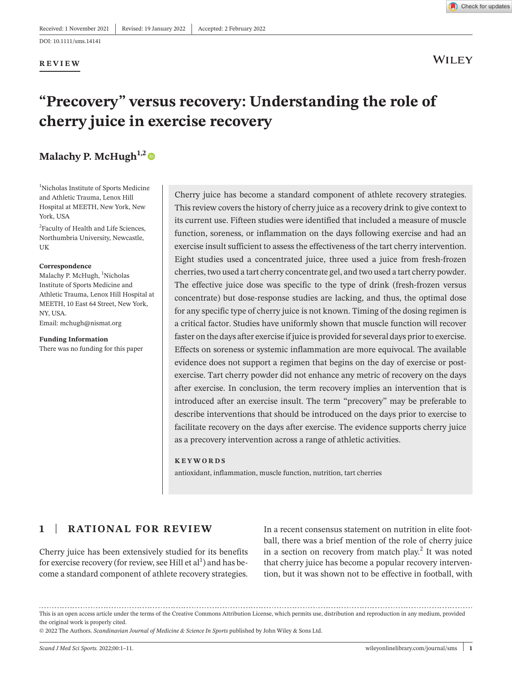#### **REVIEW**



**WILEY** 

# **"Precovery" versus recovery: Understanding the role of cherry juice in exercise recovery**

# **Malachy P. McHugh<sup>1,2</sup>**

1 Nicholas Institute of Sports Medicine and Athletic Trauma, Lenox Hill Hospital at MEETH, New York, New York, USA

<sup>2</sup>Faculty of Health and Life Sciences, Northumbria University, Newcastle, UK

#### **Correspondence**

Malachy P. McHugh, <sup>1</sup>Nicholas Institute of Sports Medicine and Athletic Trauma, Lenox Hill Hospital at MEETH, 10 East 64 Street, New York, NY, USA. Email: [mchugh@nismat.org](mailto:mchugh@nismat.org)

**Funding Information**  There was no funding for this paper Cherry juice has become a standard component of athlete recovery strategies. This review covers the history of cherry juice as a recovery drink to give context to its current use. Fifteen studies were identified that included a measure of muscle function, soreness, or inflammation on the days following exercise and had an exercise insult sufficient to assess the effectiveness of the tart cherry intervention. Eight studies used a concentrated juice, three used a juice from fresh-frozen cherries, two used a tart cherry concentrate gel, and two used a tart cherry powder. The effective juice dose was specific to the type of drink (fresh-frozen versus concentrate) but dose-response studies are lacking, and thus, the optimal dose for any specific type of cherry juice is not known. Timing of the dosing regimen is a critical factor. Studies have uniformly shown that muscle function will recover faster on the days after exercise if juice is provided for several days prior to exercise. Effects on soreness or systemic inflammation are more equivocal. The available evidence does not support a regimen that begins on the day of exercise or postexercise. Tart cherry powder did not enhance any metric of recovery on the days after exercise. In conclusion, the term recovery implies an intervention that is introduced after an exercise insult. The term "precovery" may be preferable to describe interventions that should be introduced on the days prior to exercise to facilitate recovery on the days after exercise. The evidence supports cherry juice as a precovery intervention across a range of athletic activities.

#### **KEYWORDS**

antioxidant, inflammation, muscle function, nutrition, tart cherries

# **1** | **RATIONAL FOR REVIEW**

Cherry juice has been extensively studied for its benefits for exercise recovery (for review, see Hill et  $\mathrm{al}^1$ ) and has become a standard component of athlete recovery strategies.

In a recent consensus statement on nutrition in elite football, there was a brief mention of the role of cherry juice in a section on recovery from match play.<sup>2</sup> It was noted that cherry juice has become a popular recovery intervention, but it was shown not to be effective in football, with

This is an open access article under the terms of the Creative Commons [Attribution](http://creativecommons.org/licenses/by/4.0/) License, which permits use, distribution and reproduction in any medium, provided the original work is properly cited.

<sup>©</sup> 2022 The Authors. *Scandinavian Journal of Medicine & Science In Sports* published by John Wiley & Sons Ltd.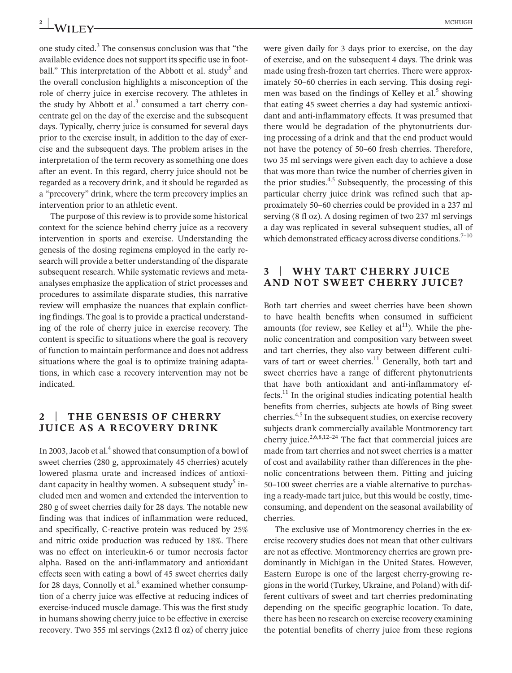one study cited. $3$  The consensus conclusion was that "the available evidence does not support its specific use in football." This interpretation of the Abbott et al. study<sup>3</sup> and the overall conclusion highlights a misconception of the role of cherry juice in exercise recovery. The athletes in the study by Abbott et al. $3$  consumed a tart cherry concentrate gel on the day of the exercise and the subsequent days. Typically, cherry juice is consumed for several days prior to the exercise insult, in addition to the day of exercise and the subsequent days. The problem arises in the interpretation of the term recovery as something one does after an event. In this regard, cherry juice should not be regarded as a recovery drink, and it should be regarded as a "precovery" drink, where the term precovery implies an intervention prior to an athletic event.

The purpose of this review is to provide some historical context for the science behind cherry juice as a recovery intervention in sports and exercise. Understanding the genesis of the dosing regimens employed in the early research will provide a better understanding of the disparate subsequent research. While systematic reviews and metaanalyses emphasize the application of strict processes and procedures to assimilate disparate studies, this narrative review will emphasize the nuances that explain conflicting findings. The goal is to provide a practical understanding of the role of cherry juice in exercise recovery. The content is specific to situations where the goal is recovery of function to maintain performance and does not address situations where the goal is to optimize training adaptations, in which case a recovery intervention may not be indicated.

## **2** | **THE GENESIS OF CHERRY JUICE AS A RECOVERY DRINK**

In 2003, Jacob et al.<sup>4</sup> showed that consumption of a bowl of sweet cherries (280 g, approximately 45 cherries) acutely lowered plasma urate and increased indices of antioxidant capacity in healthy women. A subsequent study<sup>5</sup> included men and women and extended the intervention to 280 g of sweet cherries daily for 28 days. The notable new finding was that indices of inflammation were reduced, and specifically, C-reactive protein was reduced by 25% and nitric oxide production was reduced by 18%. There was no effect on interleukin-6 or tumor necrosis factor alpha. Based on the anti-inflammatory and antioxidant effects seen with eating a bowl of 45 sweet cherries daily for 28 days, Connolly et al. $6$  examined whether consumption of a cherry juice was effective at reducing indices of exercise-induced muscle damage. This was the first study in humans showing cherry juice to be effective in exercise recovery. Two 355 ml servings (2x12 fl oz) of cherry juice were given daily for 3 days prior to exercise, on the day of exercise, and on the subsequent 4 days. The drink was made using fresh-frozen tart cherries. There were approximately 50–60 cherries in each serving. This dosing regimen was based on the findings of Kelley et al.<sup>5</sup> showing that eating 45 sweet cherries a day had systemic antioxidant and anti-inflammatory effects. It was presumed that there would be degradation of the phytonutrients during processing of a drink and that the end product would not have the potency of 50–60 fresh cherries. Therefore, two 35 ml servings were given each day to achieve a dose that was more than twice the number of cherries given in the prior studies. $4.5$  Subsequently, the processing of this particular cherry juice drink was refined such that approximately 50–60 cherries could be provided in a 237 ml serving (8 fl oz). A dosing regimen of two 237 ml servings a day was replicated in several subsequent studies, all of which demonstrated efficacy across diverse conditions.<sup>7-10</sup>

#### **3** | **WHY TART CHERRY JUICE AND NOT SWEET CHERRY JUICE?**

Both tart cherries and sweet cherries have been shown to have health benefits when consumed in sufficient amounts (for review, see Kelley et  $al<sup>11</sup>$ ). While the phenolic concentration and composition vary between sweet and tart cherries, they also vary between different cultivars of tart or sweet cherries.<sup>11</sup> Generally, both tart and sweet cherries have a range of different phytonutrients that have both antioxidant and anti-inflammatory effects. $^{11}$  In the original studies indicating potential health benefits from cherries, subjects ate bowls of Bing sweet cherries.4,5 In the subsequent studies, on exercise recovery subjects drank commercially available Montmorency tart cherry juice.<sup>2,6,8,12–24</sup> The fact that commercial juices are made from tart cherries and not sweet cherries is a matter of cost and availability rather than differences in the phenolic concentrations between them. Pitting and juicing 50–100 sweet cherries are a viable alternative to purchasing a ready-made tart juice, but this would be costly, timeconsuming, and dependent on the seasonal availability of cherries.

The exclusive use of Montmorency cherries in the exercise recovery studies does not mean that other cultivars are not as effective. Montmorency cherries are grown predominantly in Michigan in the United States. However, Eastern Europe is one of the largest cherry-growing regions in the world (Turkey, Ukraine, and Poland) with different cultivars of sweet and tart cherries predominating depending on the specific geographic location. To date, there has been no research on exercise recovery examining the potential benefits of cherry juice from these regions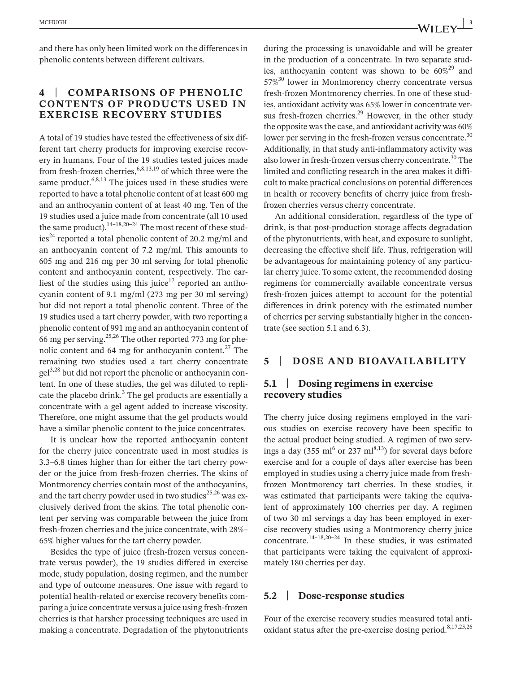and there has only been limited work on the differences in phenolic contents between different cultivars.

# **4** | **COMPARISONS OF PHENOLIC CONTENTS OF PRODUCTS USED IN EXERCISE RECOVERY STUDIES**

A total of 19 studies have tested the effectiveness of six different tart cherry products for improving exercise recovery in humans. Four of the 19 studies tested juices made from fresh-frozen cherries,  $6,8,13,19$  of which three were the same product.<sup>6,8,13</sup> The juices used in these studies were reported to have a total phenolic content of at least 600 mg and an anthocyanin content of at least 40 mg. Ten of the 19 studies used a juice made from concentrate (all 10 used the same product).<sup>14–18,20–24</sup> The most recent of these stud- $\text{ies}^{24}$  reported a total phenolic content of 20.2 mg/ml and an anthocyanin content of 7.2 mg/ml. This amounts to 605 mg and 216 mg per 30 ml serving for total phenolic content and anthocyanin content, respectively. The earliest of the studies using this juice<sup>17</sup> reported an anthocyanin content of 9.1 mg/ml (273 mg per 30 ml serving) but did not report a total phenolic content. Three of the 19 studies used a tart cherry powder, with two reporting a phenolic content of 991 mg and an anthocyanin content of 66 mg per serving.<sup>25,26</sup> The other reported 773 mg for phenolic content and 64 mg for anthocyanin content.27 The remaining two studies used a tart cherry concentrate gel<sup>3,28</sup> but did not report the phenolic or anthocyanin content. In one of these studies, the gel was diluted to replicate the placebo drink.<sup>3</sup> The gel products are essentially a concentrate with a gel agent added to increase viscosity. Therefore, one might assume that the gel products would have a similar phenolic content to the juice concentrates.

It is unclear how the reported anthocyanin content for the cherry juice concentrate used in most studies is 3.3–6.8 times higher than for either the tart cherry powder or the juice from fresh-frozen cherries. The skins of Montmorency cherries contain most of the anthocyanins, and the tart cherry powder used in two studies $^{25,26}$  was exclusively derived from the skins. The total phenolic content per serving was comparable between the juice from fresh-frozen cherries and the juice concentrate, with 28%– 65% higher values for the tart cherry powder.

Besides the type of juice (fresh-frozen versus concentrate versus powder), the 19 studies differed in exercise mode, study population, dosing regimen, and the number and type of outcome measures. One issue with regard to potential health-related or exercise recovery benefits comparing a juice concentrate versus a juice using fresh-frozen cherries is that harsher processing techniques are used in making a concentrate. Degradation of the phytonutrients during the processing is unavoidable and will be greater in the production of a concentrate. In two separate studies, anthocyanin content was shown to be  $60\%^{29}$  and  $57\%$ <sup>30</sup> lower in Montmorency cherry concentrate versus fresh-frozen Montmorency cherries. In one of these studies, antioxidant activity was 65% lower in concentrate versus fresh-frozen cherries.<sup>29</sup> However, in the other study the opposite was the case, and antioxidant activity was 60% lower per serving in the fresh-frozen versus concentrate.<sup>30</sup> Additionally, in that study anti-inflammatory activity was also lower in fresh-frozen versus cherry concentrate.<sup>30</sup> The limited and conflicting research in the area makes it difficult to make practical conclusions on potential differences in health or recovery benefits of cherry juice from freshfrozen cherries versus cherry concentrate.

An additional consideration, regardless of the type of drink, is that post-production storage affects degradation of the phytonutrients, with heat, and exposure to sunlight, decreasing the effective shelf life. Thus, refrigeration will be advantageous for maintaining potency of any particular cherry juice. To some extent, the recommended dosing regimens for commercially available concentrate versus fresh-frozen juices attempt to account for the potential differences in drink potency with the estimated number of cherries per serving substantially higher in the concentrate (see section 5.1 and 6.3).

### **5** | **DOSE AND BIOAVAILABILITY**

#### **5.1** | **Dosing regimens in exercise recovery studies**

The cherry juice dosing regimens employed in the various studies on exercise recovery have been specific to the actual product being studied. A regimen of two servings a day (355 ml<sup>6</sup> or 237 ml<sup>8,13</sup>) for several days before exercise and for a couple of days after exercise has been employed in studies using a cherry juice made from freshfrozen Montmorency tart cherries. In these studies, it was estimated that participants were taking the equivalent of approximately 100 cherries per day. A regimen of two 30 ml servings a day has been employed in exercise recovery studies using a Montmorency cherry juice concentrate. $14-18,20-24$  In these studies, it was estimated that participants were taking the equivalent of approximately 180 cherries per day.

#### **5.2** | **Dose-response studies**

Four of the exercise recovery studies measured total antioxidant status after the pre-exercise dosing period. $8,17,25,26$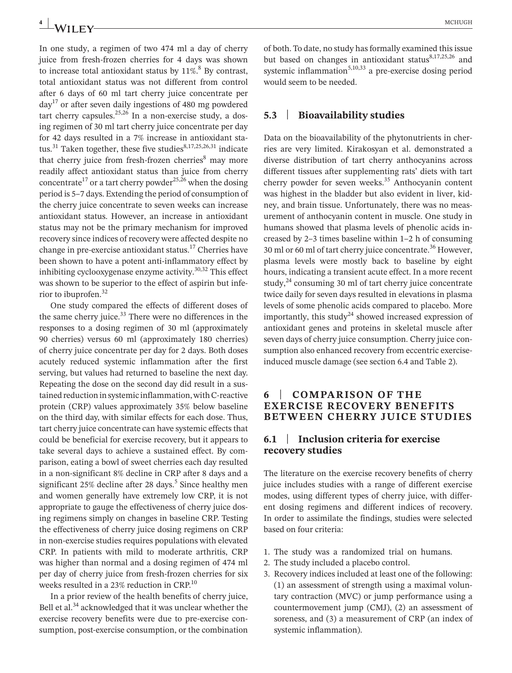In one study, a regimen of two 474 ml a day of cherry juice from fresh-frozen cherries for 4 days was shown to increase total antioxidant status by  $11\%$ <sup>8</sup> By contrast, total antioxidant status was not different from control after 6 days of 60 ml tart cherry juice concentrate per  $\text{d}$ ay<sup>17</sup> or after seven daily ingestions of 480 mg powdered tart cherry capsules. $25,26$  In a non-exercise study, a dosing regimen of 30 ml tart cherry juice concentrate per day for 42 days resulted in a 7% increase in antioxidant status.<sup>31</sup> Taken together, these five studies<sup>8,17,25,26,31</sup> indicate that cherry juice from fresh-frozen cherries<sup>8</sup> may more readily affect antioxidant status than juice from cherry concentrate<sup>17</sup> or a tart cherry powder<sup>25,26</sup> when the dosing period is 5–7 days. Extending the period of consumption of the cherry juice concentrate to seven weeks can increase antioxidant status. However, an increase in antioxidant status may not be the primary mechanism for improved recovery since indices of recovery were affected despite no change in pre-exercise antioxidant status.<sup>17</sup> Cherries have been shown to have a potent anti-inflammatory effect by inhibiting cyclooxygenase enzyme activity. $30,32$  This effect was shown to be superior to the effect of aspirin but inferior to ibuprofen.32

One study compared the effects of different doses of the same cherry juice. $33$  There were no differences in the responses to a dosing regimen of 30 ml (approximately 90 cherries) versus 60 ml (approximately 180 cherries) of cherry juice concentrate per day for 2 days. Both doses acutely reduced systemic inflammation after the first serving, but values had returned to baseline the next day. Repeating the dose on the second day did result in a sustained reduction in systemic inflammation, with C-reactive protein (CRP) values approximately 35% below baseline on the third day, with similar effects for each dose. Thus, tart cherry juice concentrate can have systemic effects that could be beneficial for exercise recovery, but it appears to take several days to achieve a sustained effect. By comparison, eating a bowl of sweet cherries each day resulted in a non-significant 8% decline in CRP after 8 days and a significant  $25\%$  decline after  $28$  days.<sup>5</sup> Since healthy men and women generally have extremely low CRP, it is not appropriate to gauge the effectiveness of cherry juice dosing regimens simply on changes in baseline CRP. Testing the effectiveness of cherry juice dosing regimens on CRP in non-exercise studies requires populations with elevated CRP. In patients with mild to moderate arthritis, CRP was higher than normal and a dosing regimen of 474 ml per day of cherry juice from fresh-frozen cherries for six weeks resulted in a 23% reduction in CRP.<sup>10</sup>

In a prior review of the health benefits of cherry juice, Bell et al.<sup>34</sup> acknowledged that it was unclear whether the exercise recovery benefits were due to pre-exercise consumption, post-exercise consumption, or the combination

of both. To date, no study has formally examined this issue but based on changes in antioxidant status $8,17,25,26$  and systemic inflammation<sup>5,10,33</sup> a pre-exercise dosing period would seem to be needed.

#### **5.3** | **Bioavailability studies**

Data on the bioavailability of the phytonutrients in cherries are very limited. Kirakosyan et al. demonstrated a diverse distribution of tart cherry anthocyanins across different tissues after supplementing rats' diets with tart cherry powder for seven weeks.<sup>35</sup> Anthocyanin content was highest in the bladder but also evident in liver, kidney, and brain tissue. Unfortunately, there was no measurement of anthocyanin content in muscle. One study in humans showed that plasma levels of phenolic acids increased by 2–3 times baseline within 1–2 h of consuming 30 ml or 60 ml of tart cherry juice concentrate.<sup>36</sup> However, plasma levels were mostly back to baseline by eight hours, indicating a transient acute effect. In a more recent study, $^{24}$  consuming 30 ml of tart cherry juice concentrate twice daily for seven days resulted in elevations in plasma levels of some phenolic acids compared to placebo. More importantly, this study<sup>24</sup> showed increased expression of antioxidant genes and proteins in skeletal muscle after seven days of cherry juice consumption. Cherry juice consumption also enhanced recovery from eccentric exerciseinduced muscle damage (see section 6.4 and Table 2).

#### **6** | **COMPARISON OF THE EXERCISE RECOVERY BENEFITS BETWEEN CHERRY JUICE STUDIES**

#### **6.1** | **Inclusion criteria for exercise recovery studies**

The literature on the exercise recovery benefits of cherry juice includes studies with a range of different exercise modes, using different types of cherry juice, with different dosing regimens and different indices of recovery. In order to assimilate the findings, studies were selected based on four criteria:

- 1. The study was a randomized trial on humans.
- 2. The study included a placebo control.
- 3. Recovery indices included at least one of the following: (1) an assessment of strength using a maximal voluntary contraction (MVC) or jump performance using a countermovement jump (CMJ), (2) an assessment of soreness, and (3) a measurement of CRP (an index of systemic inflammation).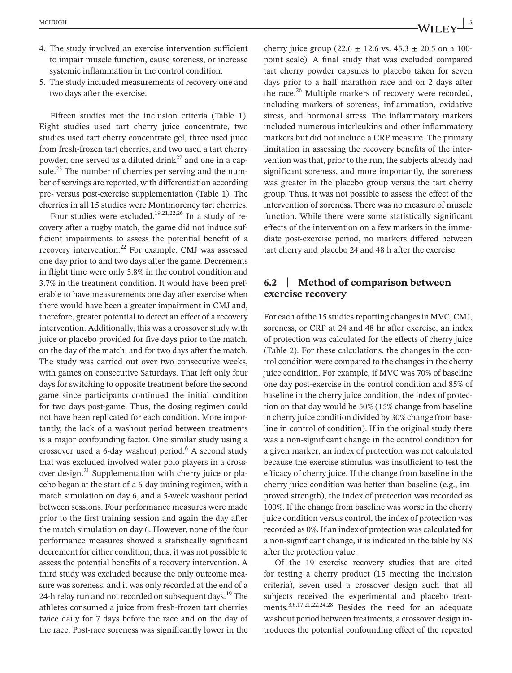- 4. The study involved an exercise intervention sufficient to impair muscle function, cause soreness, or increase systemic inflammation in the control condition.
- 5. The study included measurements of recovery one and two days after the exercise.

Fifteen studies met the inclusion criteria (Table 1). Eight studies used tart cherry juice concentrate, two studies used tart cherry concentrate gel, three used juice from fresh-frozen tart cherries, and two used a tart cherry powder, one served as a diluted drink<sup>27</sup> and one in a capsule.<sup>25</sup> The number of cherries per serving and the number of servings are reported, with differentiation according pre- versus post-exercise supplementation (Table 1). The cherries in all 15 studies were Montmorency tart cherries.

Four studies were excluded.<sup>19,21,22,26</sup> In a study of recovery after a rugby match, the game did not induce sufficient impairments to assess the potential benefit of a recovery intervention.<sup>22</sup> For example, CMJ was assessed one day prior to and two days after the game. Decrements in flight time were only 3.8% in the control condition and 3.7% in the treatment condition. It would have been preferable to have measurements one day after exercise when there would have been a greater impairment in CMJ and, therefore, greater potential to detect an effect of a recovery intervention. Additionally, this was a crossover study with juice or placebo provided for five days prior to the match, on the day of the match, and for two days after the match. The study was carried out over two consecutive weeks, with games on consecutive Saturdays. That left only four days for switching to opposite treatment before the second game since participants continued the initial condition for two days post-game. Thus, the dosing regimen could not have been replicated for each condition. More importantly, the lack of a washout period between treatments is a major confounding factor. One similar study using a crossover used a 6-day washout period.<sup>6</sup> A second study that was excluded involved water polo players in a crossover design.<sup>21</sup> Supplementation with cherry juice or placebo began at the start of a 6-day training regimen, with a match simulation on day 6, and a 5-week washout period between sessions. Four performance measures were made prior to the first training session and again the day after the match simulation on day 6. However, none of the four performance measures showed a statistically significant decrement for either condition; thus, it was not possible to assess the potential benefits of a recovery intervention. A third study was excluded because the only outcome measure was soreness, and it was only recorded at the end of a 24-h relay run and not recorded on subsequent days.<sup>19</sup> The athletes consumed a juice from fresh-frozen tart cherries twice daily for 7 days before the race and on the day of the race. Post-race soreness was significantly lower in the

cherry juice group (22.6  $\pm$  12.6 vs. 45.3  $\pm$  20.5 on a 100point scale). A final study that was excluded compared tart cherry powder capsules to placebo taken for seven days prior to a half marathon race and on 2 days after the race.<sup>26</sup> Multiple markers of recovery were recorded, including markers of soreness, inflammation, oxidative stress, and hormonal stress. The inflammatory markers included numerous interleukins and other inflammatory markers but did not include a CRP measure. The primary limitation in assessing the recovery benefits of the intervention was that, prior to the run, the subjects already had significant soreness, and more importantly, the soreness was greater in the placebo group versus the tart cherry group. Thus, it was not possible to assess the effect of the intervention of soreness. There was no measure of muscle function. While there were some statistically significant effects of the intervention on a few markers in the immediate post-exercise period, no markers differed between tart cherry and placebo 24 and 48 h after the exercise.

#### **6.2** | **Method of comparison between exercise recovery**

For each of the 15 studies reporting changes in MVC, CMJ, soreness, or CRP at 24 and 48 hr after exercise, an index of protection was calculated for the effects of cherry juice (Table 2). For these calculations, the changes in the control condition were compared to the changes in the cherry juice condition. For example, if MVC was 70% of baseline one day post-exercise in the control condition and 85% of baseline in the cherry juice condition, the index of protection on that day would be 50% (15% change from baseline in cherry juice condition divided by 30% change from baseline in control of condition). If in the original study there was a non-significant change in the control condition for a given marker, an index of protection was not calculated because the exercise stimulus was insufficient to test the efficacy of cherry juice. If the change from baseline in the cherry juice condition was better than baseline (e.g., improved strength), the index of protection was recorded as 100%. If the change from baseline was worse in the cherry juice condition versus control, the index of protection was recorded as 0%. If an index of protection was calculated for a non-significant change, it is indicated in the table by NS after the protection value.

Of the 19 exercise recovery studies that are cited for testing a cherry product (15 meeting the inclusion criteria), seven used a crossover design such that all subjects received the experimental and placebo treatments.3,6,17,21,22,24,28 Besides the need for an adequate washout period between treatments, a crossover design introduces the potential confounding effect of the repeated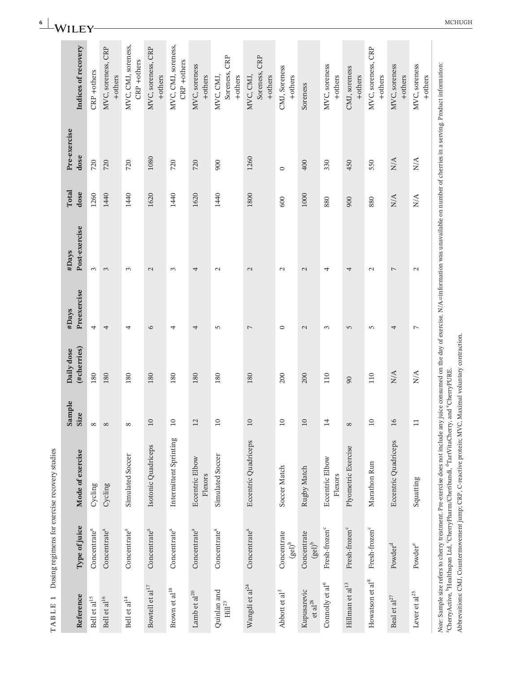| TABLE 1                             |                                              | Dosing regimens for exercise recovery studies                                                                                                                                                                                                                                                                                                                                                                                                 |                |                                                   |                      |                        |               |                             |                                          |
|-------------------------------------|----------------------------------------------|-----------------------------------------------------------------------------------------------------------------------------------------------------------------------------------------------------------------------------------------------------------------------------------------------------------------------------------------------------------------------------------------------------------------------------------------------|----------------|---------------------------------------------------|----------------------|------------------------|---------------|-----------------------------|------------------------------------------|
| Reference                           | Type of juice                                | Mode of exercise                                                                                                                                                                                                                                                                                                                                                                                                                              | Sample<br>Size | (#cherries)<br>Daily dose                         | Preexercise<br>#Days | Post-exercise<br>#Days | Total<br>dose | Pre-exercise<br>dose        | Indices of recovery                      |
| Bell et al $^{15}$                  | Concentrate <sup>a</sup>                     | Cycling                                                                                                                                                                                                                                                                                                                                                                                                                                       | $\infty$       | 180                                               | 4                    | 3                      | 1260          | 720                         | CRP +others                              |
| Bell et al<br>$^{16}$               | Concentrate <sup>a</sup>                     | Cycling                                                                                                                                                                                                                                                                                                                                                                                                                                       | $\infty$       | 180                                               | 4                    | 3                      | 1440          | 720                         | MVC, soreness, CRP<br>+others            |
| Bell et al $^{14}$                  | Concentrate <sup>a</sup>                     | Simulated Soccer                                                                                                                                                                                                                                                                                                                                                                                                                              | $\infty$       | 180                                               | 4                    | $\epsilon$             | 1440          | 720                         | MVC, CMJ, soreness,<br>CRP +others       |
| Bowtell et al $^{17}$               | Concentrate <sup>a</sup>                     | Isotonic Quadriceps                                                                                                                                                                                                                                                                                                                                                                                                                           | $10\,$         | 180                                               | 6                    | $\mathbf{C}$           | 1620          | 1080                        | MVC, soreness, CRP<br>+others            |
| Brown et al $^{18}$                 | Concentrate <sup>a</sup>                     | Intermittent Sprinting                                                                                                                                                                                                                                                                                                                                                                                                                        | $10$           | 180                                               | 4                    | 3                      | 1440          | 720                         | MVC, CMJ, soreness,<br>CRP +others       |
| Lamb et al $^{20}$                  | Concentrate <sup>a</sup>                     | Eccentric Elbow<br>Flexors                                                                                                                                                                                                                                                                                                                                                                                                                    | 12             | 180                                               | 4                    | 4                      | 1620          | 720                         | MVC, soreness<br>+others                 |
| Quinlan and<br>$\mathrm{Hill}^{23}$ | Concentrate <sup>a</sup>                     | Simulated Soccer                                                                                                                                                                                                                                                                                                                                                                                                                              | $10$           | 180                                               | 5                    | $\mathcal{L}$          | 1440          | 900                         | CRP<br>Soreness,<br>MVC, CMJ,<br>+others |
| Wangdi et al $^{24}$                | Concentrate <sup>a</sup>                     | Eccentric Quadriceps                                                                                                                                                                                                                                                                                                                                                                                                                          | $10\,$         | 180                                               | $\overline{ }$       | $\mathbf{\Omega}$      | 1800          | 1260                        | Soreness, CRP<br>+others<br>MVC, CMJ,    |
| Abbott et al <sup>3</sup>           | Concentrate<br>$\left( \text{gel} \right)^b$ | Soccer Match                                                                                                                                                                                                                                                                                                                                                                                                                                  | $10$           | 200                                               | $\circ$              | $\mathbf{\Omega}$      | 600           | $\circ$                     | CMJ, Soreness<br>+others                 |
| Kupusarevic<br>$et$ al $^{28}$      | Concentrate<br>$(\mathrm{gel})^\mathrm{b}$   | Rugby Match                                                                                                                                                                                                                                                                                                                                                                                                                                   | $10\,$         | 200                                               | $\mathbf{C}$         | $\mathcal{L}$          | 1000          | 400                         | Soreness                                 |
| Connolly et al <sup>6</sup>         | Fresh-frozen <sup>c</sup>                    | Eccentric Elbow<br>Flexors                                                                                                                                                                                                                                                                                                                                                                                                                    | $\overline{1}$ | 110                                               | 3                    | 4                      | 880           | 330                         | MVC, soreness<br>+others                 |
| $\hbox{Hillman}$ et al $^{13}$      | Fresh-frozen <sup>c</sup>                    | Plyometric Exercise                                                                                                                                                                                                                                                                                                                                                                                                                           | $\infty$       | $\overline{6}$                                    | 5                    | 4                      | 900           | 450                         | CMJ, soreness<br>+others                 |
| Howatson et $\rm{al}^8$             | Fresh-frozen <sup>c</sup>                    | Marathon Run                                                                                                                                                                                                                                                                                                                                                                                                                                  | $10$           | 110                                               | 5                    | $\mathcal{L}$          | 880           | 550                         | MVC, soreness, CRP<br>+others            |
| Beal et al <sup>27</sup>            | Powder <sup>d</sup>                          | Eccentric Quadriceps                                                                                                                                                                                                                                                                                                                                                                                                                          | 16             | ${\rm N/A}$                                       | 4                    | 7                      | ${\rm N/A}$   | ${\rm N/A}$                 | MVC, soreness<br>+others                 |
| Lever et al <sup>25</sup>           | Powder <sup>e</sup>                          | Squatting                                                                                                                                                                                                                                                                                                                                                                                                                                     | $\Xi$          | $\mathop{\rm N}\nolimits\!mathop{\rm A}\nolimits$ | $\overline{ }$       | $\mathcal{L}$          | N/A           | $\mathop{\rm N/A}\nolimits$ | MVC, soreness<br>+others                 |
|                                     |                                              | Note: Sample size refers to cherry treatment. Pre-exercise does not include any juice consumed on the day of exercise. N/A=information was unavailable on number of cherries in a serving. Product information:<br>Abbrevaitions: CMJ, Countermovement jump; CRP, C-reactive protein; MVC, Maximal voluntary contraction.<br>CherryActive, <sup>b</sup> Healthspan Ltd, 'CherryPharm/Cheribundi, <sup>d</sup> TartVitaCherry, and 'CherryPURE |                |                                                   |                      |                        |               |                             |                                          |

**6**  $\begin{bmatrix} \mathbf{M} & \mathbf{M} & \mathbf{M} & \mathbf{M} & \mathbf{M} & \mathbf{M} & \mathbf{M} & \mathbf{M} & \mathbf{M} & \mathbf{M} & \mathbf{M} & \mathbf{M} & \mathbf{M} & \mathbf{M} & \mathbf{M} & \mathbf{M} & \mathbf{M} & \mathbf{M} & \mathbf{M} & \mathbf{M} & \mathbf{M} & \mathbf{M} & \mathbf{M} & \mathbf{M} & \mathbf{M} & \mathbf{M} & \mathbf{M} & \mathbf{M} & \mathbf{M} & \mathbf{M} & \$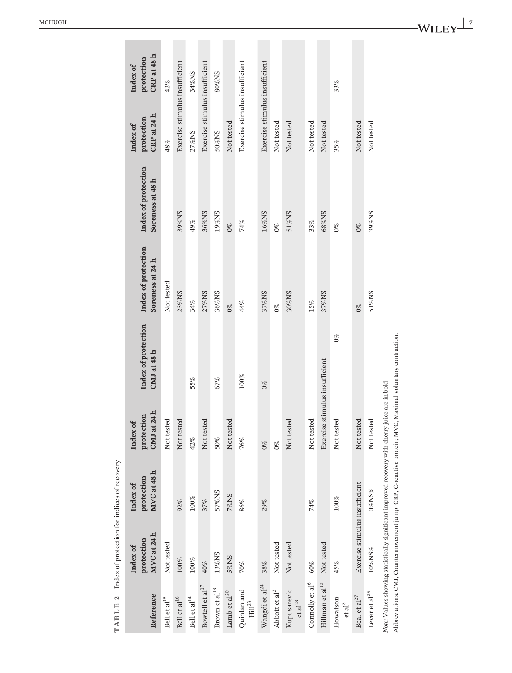| Reference                          | MVC at 24 h<br>protection<br>Index of                                                           | MVC at 48 h<br>protection<br>Index of | CMJ at 24 h<br>protection<br>Index of | Index of protection<br>CMJ at 48 h | Index of protection<br>Soreness at 24 h | Index of protection<br>Soreness at 48 h | CRP at 24 h<br>protection<br>Index of | CRP at 48 h<br>protection<br>Index of |
|------------------------------------|-------------------------------------------------------------------------------------------------|---------------------------------------|---------------------------------------|------------------------------------|-----------------------------------------|-----------------------------------------|---------------------------------------|---------------------------------------|
| Bell et al <sup>15</sup>           | Not tested                                                                                      |                                       | Not tested                            |                                    | Not tested                              |                                         | 48%                                   | 42%                                   |
| Bell et al <sup>16</sup>           | 100%                                                                                            | 92%                                   | Not tested                            |                                    | 23%NS                                   | 39%NS                                   | Exercise stimulus insufficient        |                                       |
| Bell et al <sup>14</sup>           | $100\%$                                                                                         | $100\%$                               | 42%                                   | 55%                                | 34%                                     | 49%                                     | 27%NS                                 | 34%NS                                 |
| Bowtell et al <sup>17</sup>        | 40%                                                                                             | 37%                                   | Not tested                            |                                    | 27%NS                                   | 36%NS                                   | Exercise stimulus insufficient        |                                       |
| Brown et al $^{18}$                | 13%NS                                                                                           | 57%NS                                 | 50%                                   | 67%                                | 36%NS                                   | 19%NS                                   | 50%NS                                 | 80%NS                                 |
| Lamb et al $^{\rm 20}$             | 5%NS                                                                                            | <b>7%NS</b>                           | Not tested                            |                                    | $0\%$                                   | $0\%$                                   | Not tested                            |                                       |
| Quinlan and<br>$\rm{Hill}^{23}$    | 70%                                                                                             | 86%                                   | 76%                                   | $100\%$                            | 44%                                     | 74%                                     | Exercise stimulus insufficient        |                                       |
| Wangdi et al $^{24}$               | 38%                                                                                             | 29%                                   | $0\%$                                 | $0\%$                              | 37%NS                                   | 16%NS                                   | Exercise stimulus insufficient        |                                       |
| Abbott et al <sup>3</sup>          | Not tested                                                                                      |                                       | $0\%$                                 |                                    | $0\%$                                   | $0\%$                                   | Not tested                            |                                       |
| Kupusarevic<br>et al <sup>28</sup> | Not tested                                                                                      |                                       | Not tested                            |                                    | 30%NS                                   | 51%NS                                   | Not tested                            |                                       |
| Connolly et al <sup>6</sup>        | 60%                                                                                             | 74%                                   | Not tested                            |                                    | 15%                                     | 33%                                     | Not tested                            |                                       |
| $\hbox{Hillman}$ et al $^{13}$     | Not tested                                                                                      |                                       | Exercise stimulus insufficient        |                                    | 37%NS                                   | 68%NS                                   | Not tested                            |                                       |
| Howatson<br>et al <sup>8</sup>     | 45%                                                                                             | $100\%$                               | Not tested                            | $0\%$                              |                                         | $0\%$                                   | 35%                                   | 33%                                   |
| Beal et al $^{27}$                 | Exercise stimulus insufficient                                                                  |                                       | Not tested                            |                                    | $0\%$                                   | $0\%$                                   | Not tested                            |                                       |
| Lever et $\rm{al}^{25}$            | 10%NS%                                                                                          | $0\%$ NS%                             | Not tested                            |                                    | 51%NS                                   | 39%NS                                   | Not tested                            |                                       |
|                                    | Note: Values showing statistically significant improved recovery with cherry juice are in bold. |                                       |                                       |                                    |                                         |                                         |                                       |                                       |

TABLE 2 Index of protection for indices of recovery **TABLE 2** Index of protection for indices of recovery

Ĥ.

Abbreviations: CMJ, Countermovement jump; CRP, C-reactive protein; MVC, Maximal voluntary contraction.

Abbreviations: CMJ, Countermovement jump; CRP, C-reactive protein; MVC, Maximal voluntary contraction.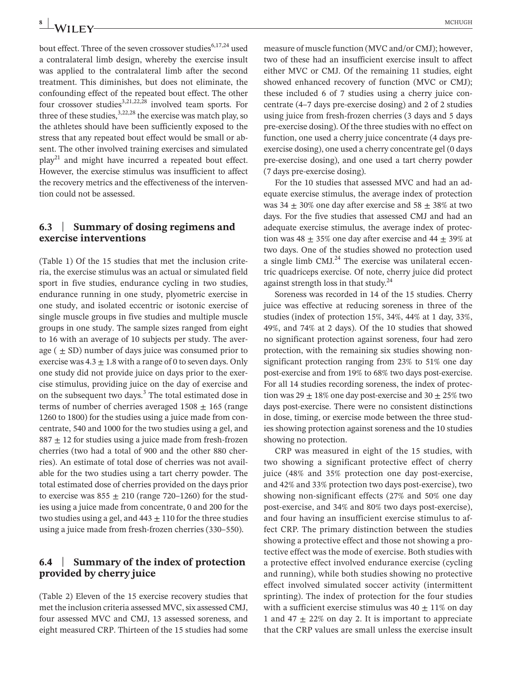bout effect. Three of the seven crossover studies<sup>6,17,24</sup> used a contralateral limb design, whereby the exercise insult was applied to the contralateral limb after the second treatment. This diminishes, but does not eliminate, the confounding effect of the repeated bout effect. The other four crossover studies<sup>3,21,22,28</sup> involved team sports. For three of these studies,  $3,22,28$  the exercise was match play, so the athletes should have been sufficiently exposed to the stress that any repeated bout effect would be small or absent. The other involved training exercises and simulated  $play<sup>21</sup>$  and might have incurred a repeated bout effect. However, the exercise stimulus was insufficient to affect the recovery metrics and the effectiveness of the intervention could not be assessed.

#### **6.3** | **Summary of dosing regimens and exercise interventions**

(Table 1) Of the 15 studies that met the inclusion criteria, the exercise stimulus was an actual or simulated field sport in five studies, endurance cycling in two studies, endurance running in one study, plyometric exercise in one study, and isolated eccentric or isotonic exercise of single muscle groups in five studies and multiple muscle groups in one study. The sample sizes ranged from eight to 16 with an average of 10 subjects per study. The average  $( \pm SD)$  number of days juice was consumed prior to exercise was  $4.3 \pm 1.8$  with a range of 0 to seven days. Only one study did not provide juice on days prior to the exercise stimulus, providing juice on the day of exercise and on the subsequent two days.<sup>3</sup> The total estimated dose in terms of number of cherries averaged  $1508 \pm 165$  (range 1260 to 1800) for the studies using a juice made from concentrate, 540 and 1000 for the two studies using a gel, and  $887 \pm 12$  for studies using a juice made from fresh-frozen cherries (two had a total of 900 and the other 880 cherries). An estimate of total dose of cherries was not available for the two studies using a tart cherry powder. The total estimated dose of cherries provided on the days prior to exercise was  $855 \pm 210$  (range 720–1260) for the studies using a juice made from concentrate, 0 and 200 for the two studies using a gel, and  $443 \pm 110$  for the three studies using a juice made from fresh-frozen cherries (330–550).

### **6.4** | **Summary of the index of protection provided by cherry juice**

(Table 2) Eleven of the 15 exercise recovery studies that met the inclusion criteria assessed MVC, six assessed CMJ, four assessed MVC and CMJ, 13 assessed soreness, and eight measured CRP. Thirteen of the 15 studies had some

measure of muscle function (MVC and/or CMJ); however, two of these had an insufficient exercise insult to affect either MVC or CMJ. Of the remaining 11 studies, eight showed enhanced recovery of function (MVC or CMJ); these included 6 of 7 studies using a cherry juice concentrate (4–7 days pre-exercise dosing) and 2 of 2 studies using juice from fresh-frozen cherries (3 days and 5 days pre-exercise dosing). Of the three studies with no effect on function, one used a cherry juice concentrate (4 days preexercise dosing), one used a cherry concentrate gel (0 days pre-exercise dosing), and one used a tart cherry powder (7 days pre-exercise dosing).

For the 10 studies that assessed MVC and had an adequate exercise stimulus, the average index of protection was  $34 \pm 30\%$  one day after exercise and  $58 \pm 38\%$  at two days. For the five studies that assessed CMJ and had an adequate exercise stimulus, the average index of protection was  $48 \pm 35\%$  one day after exercise and  $44 \pm 39\%$  at two days. One of the studies showed no protection used a single limb  $CMJ<sup>24</sup>$  The exercise was unilateral eccentric quadriceps exercise. Of note, cherry juice did protect against strength loss in that study.<sup>24</sup>

Soreness was recorded in 14 of the 15 studies. Cherry juice was effective at reducing soreness in three of the studies (index of protection 15%, 34%, 44% at 1 day, 33%, 49%, and 74% at 2 days). Of the 10 studies that showed no significant protection against soreness, four had zero protection, with the remaining six studies showing nonsignificant protection ranging from 23% to 51% one day post-exercise and from 19% to 68% two days post-exercise. For all 14 studies recording soreness, the index of protection was  $29 \pm 18\%$  one day post-exercise and  $30 \pm 25\%$  two days post-exercise. There were no consistent distinctions in dose, timing, or exercise mode between the three studies showing protection against soreness and the 10 studies showing no protection.

CRP was measured in eight of the 15 studies, with two showing a significant protective effect of cherry juice (48% and 35% protection one day post-exercise, and 42% and 33% protection two days post-exercise), two showing non-significant effects (27% and 50% one day post-exercise, and 34% and 80% two days post-exercise), and four having an insufficient exercise stimulus to affect CRP. The primary distinction between the studies showing a protective effect and those not showing a protective effect was the mode of exercise. Both studies with a protective effect involved endurance exercise (cycling and running), while both studies showing no protective effect involved simulated soccer activity (intermittent sprinting). The index of protection for the four studies with a sufficient exercise stimulus was  $40 \pm 11\%$  on day 1 and 47  $\pm$  22% on day 2. It is important to appreciate that the CRP values are small unless the exercise insult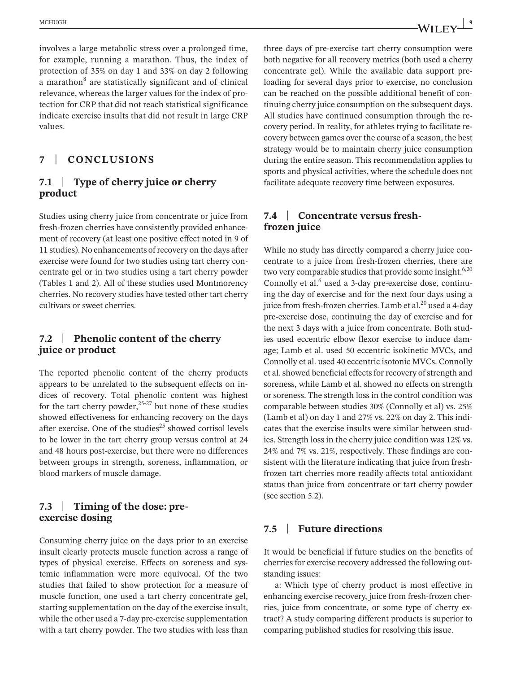involves a large metabolic stress over a prolonged time, for example, running a marathon. Thus, the index of protection of 35% on day 1 and 33% on day 2 following a marathon $8$  are statistically significant and of clinical relevance, whereas the larger values for the index of protection for CRP that did not reach statistical significance indicate exercise insults that did not result in large CRP values.

# **7** | **CONCLUSIONS**

# **7.1** | **Type of cherry juice or cherry product**

Studies using cherry juice from concentrate or juice from fresh-frozen cherries have consistently provided enhancement of recovery (at least one positive effect noted in 9 of 11 studies). No enhancements of recovery on the days after exercise were found for two studies using tart cherry concentrate gel or in two studies using a tart cherry powder (Tables 1 and 2). All of these studies used Montmorency cherries. No recovery studies have tested other tart cherry cultivars or sweet cherries.

#### **7.2** | **Phenolic content of the cherry juice or product**

The reported phenolic content of the cherry products appears to be unrelated to the subsequent effects on indices of recovery. Total phenolic content was highest for the tart cherry powder,<sup>25-27</sup> but none of these studies showed effectiveness for enhancing recovery on the days after exercise. One of the studies $^{25}$  showed cortisol levels to be lower in the tart cherry group versus control at 24 and 48 hours post-exercise, but there were no differences between groups in strength, soreness, inflammation, or blood markers of muscle damage.

### **7.3** | **Timing of the dose: preexercise dosing**

Consuming cherry juice on the days prior to an exercise insult clearly protects muscle function across a range of types of physical exercise. Effects on soreness and systemic inflammation were more equivocal. Of the two studies that failed to show protection for a measure of muscle function, one used a tart cherry concentrate gel, starting supplementation on the day of the exercise insult, while the other used a 7-day pre-exercise supplementation with a tart cherry powder. The two studies with less than

three days of pre-exercise tart cherry consumption were both negative for all recovery metrics (both used a cherry concentrate gel). While the available data support preloading for several days prior to exercise, no conclusion can be reached on the possible additional benefit of continuing cherry juice consumption on the subsequent days. All studies have continued consumption through the recovery period. In reality, for athletes trying to facilitate recovery between games over the course of a season, the best strategy would be to maintain cherry juice consumption during the entire season. This recommendation applies to sports and physical activities, where the schedule does not facilitate adequate recovery time between exposures.

#### **7.4** | **Concentrate versus freshfrozen juice**

While no study has directly compared a cherry juice concentrate to a juice from fresh-frozen cherries, there are two very comparable studies that provide some insight.<sup>6,20</sup> Connolly et al.<sup>6</sup> used a 3-day pre-exercise dose, continuing the day of exercise and for the next four days using a juice from fresh-frozen cherries. Lamb et al. $^{20}$  used a 4-day pre-exercise dose, continuing the day of exercise and for the next 3 days with a juice from concentrate. Both studies used eccentric elbow flexor exercise to induce damage; Lamb et al. used 50 eccentric isokinetic MVCs, and Connolly et al. used 40 eccentric isotonic MVCs. Connolly et al. showed beneficial effects for recovery of strength and soreness, while Lamb et al. showed no effects on strength or soreness. The strength loss in the control condition was comparable between studies 30% (Connolly et al) vs. 25% (Lamb et al) on day 1 and 27% vs. 22% on day 2. This indicates that the exercise insults were similar between studies. Strength loss in the cherry juice condition was 12% vs. 24% and 7% vs. 21%, respectively. These findings are consistent with the literature indicating that juice from freshfrozen tart cherries more readily affects total antioxidant status than juice from concentrate or tart cherry powder (see section 5.2).

### **7.5** | **Future directions**

It would be beneficial if future studies on the benefits of cherries for exercise recovery addressed the following outstanding issues:

a: Which type of cherry product is most effective in enhancing exercise recovery, juice from fresh-frozen cherries, juice from concentrate, or some type of cherry extract? A study comparing different products is superior to comparing published studies for resolving this issue.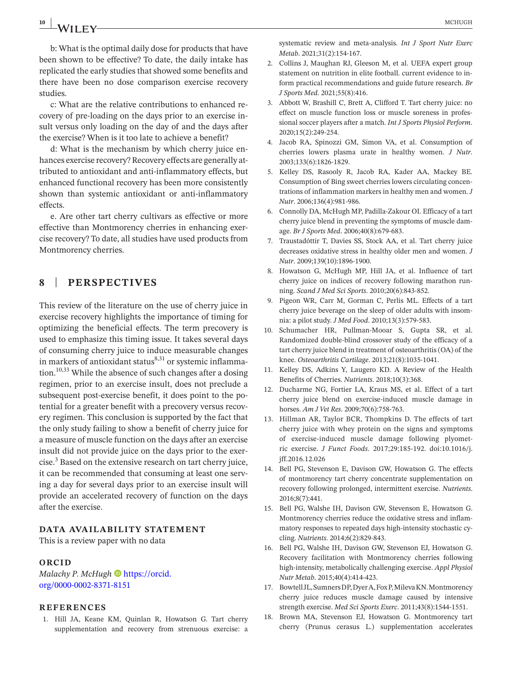# **10 MCHUGH MCHUGH MCHUGH**

b: What is the optimal daily dose for products that have been shown to be effective? To date, the daily intake has replicated the early studies that showed some benefits and there have been no dose comparison exercise recovery studies.

c: What are the relative contributions to enhanced recovery of pre-loading on the days prior to an exercise insult versus only loading on the day of and the days after the exercise? When is it too late to achieve a benefit?

d: What is the mechanism by which cherry juice enhances exercise recovery? Recovery effects are generally attributed to antioxidant and anti-inflammatory effects, but enhanced functional recovery has been more consistently shown than systemic antioxidant or anti-inflammatory effects.

e. Are other tart cherry cultivars as effective or more effective than Montmorency cherries in enhancing exercise recovery? To date, all studies have used products from Montmorency cherries.

# **8** | **PERSPECTIVES**

This review of the literature on the use of cherry juice in exercise recovery highlights the importance of timing for optimizing the beneficial effects. The term precovery is used to emphasize this timing issue. It takes several days of consuming cherry juice to induce measurable changes in markers of antioxidant status $8,31$  or systemic inflammation.<sup>10,33</sup> While the absence of such changes after a dosing regimen, prior to an exercise insult, does not preclude a subsequent post-exercise benefit, it does point to the potential for a greater benefit with a precovery versus recovery regimen. This conclusion is supported by the fact that the only study failing to show a benefit of cherry juice for a measure of muscle function on the days after an exercise insult did not provide juice on the days prior to the exer- $\text{cise.}^3$  Based on the extensive research on tart cherry juice, it can be recommended that consuming at least one serving a day for several days prior to an exercise insult will provide an accelerated recovery of function on the days after the exercise.

#### **DATA AVAILABILITY STATEMENT**

This is a review paper with no data

#### **ORCID**

*Malachy P. McHugh* **b** [https://orcid.](https://orcid.org/0000-0002-8371-8151) [org/0000-0002-8371-8151](https://orcid.org/0000-0002-8371-8151)

#### **REFERENCES**

 1. Hill JA, Keane KM, Quinlan R, Howatson G. Tart cherry supplementation and recovery from strenuous exercise: a

systematic review and meta-analysis. *Int J Sport Nutr Exerc Metab*. 2021;31(2):154-167.

- 2. Collins J, Maughan RJ, Gleeson M, et al. UEFA expert group statement on nutrition in elite football. current evidence to inform practical recommendations and guide future research. *Br J Sports Med*. 2021;55(8):416.
- 3. Abbott W, Brashill C, Brett A, Clifford T. Tart cherry juice: no effect on muscle function loss or muscle soreness in professional soccer players after a match. *Int J Sports Physiol Perform*. 2020;15(2):249-254.
- 4. Jacob RA, Spinozzi GM, Simon VA, et al. Consumption of cherries lowers plasma urate in healthy women. *J Nutr*. 2003;133(6):1826-1829.
- 5. Kelley DS, Rasooly R, Jacob RA, Kader AA, Mackey BE. Consumption of Bing sweet cherries lowers circulating concentrations of inflammation markersin healthy men and women.*J Nutr*. 2006;136(4):981-986.
- 6. Connolly DA, McHugh MP, Padilla-Zakour OI. Efficacy of a tart cherry juice blend in preventing the symptoms of muscle damage. *Br J Sports Med*. 2006;40(8):679-683.
- 7. Traustadóttir T, Davies SS, Stock AA, et al. Tart cherry juice decreases oxidative stress in healthy older men and women. *J Nutr*. 2009;139(10):1896-1900.
- 8. Howatson G, McHugh MP, Hill JA, et al. Influence of tart cherry juice on indices of recovery following marathon running. *Scand J Med Sci Sports*. 2010;20(6):843-852.
- 9. Pigeon WR, Carr M, Gorman C, Perlis ML. Effects of a tart cherry juice beverage on the sleep of older adults with insomnia: a pilot study. *J Med Food*. 2010;13(3):579-583.
- 10. Schumacher HR, Pullman-Mooar S, Gupta SR, et al. Randomized double-blind crossover study of the efficacy of a tart cherry juice blend in treatment of osteoarthritis (OA) of the knee. *Osteoarthritis Cartilage*. 2013;21(8):1035-1041.
- 11. Kelley DS, Adkins Y, Laugero KD. A Review of the Health Benefits of Cherries. *Nutrients*. 2018;10(3):368.
- 12. Ducharme NG, Fortier LA, Kraus MS, et al. Effect of a tart cherry juice blend on exercise-induced muscle damage in horses. *Am J Vet Res*. 2009;70(6):758-763.
- 13. Hillman AR, Taylor BCR, Thompkins D. The effects of tart cherry juice with whey protein on the signs and symptoms of exercise-induced muscle damage following plyometric exercise. *J Funct Foods*. 2017;29:185-192. doi:[10.1016/j.](https://doi.org/10.1016/j.jff.2016.12.026) [jff.2016.12.026](https://doi.org/10.1016/j.jff.2016.12.026)
- 14. Bell PG, Stevenson E, Davison GW, Howatson G. The effects of montmorency tart cherry concentrate supplementation on recovery following prolonged, intermittent exercise. *Nutrients*. 2016;8(7):441.
- 15. Bell PG, Walshe IH, Davison GW, Stevenson E, Howatson G. Montmorency cherries reduce the oxidative stress and inflammatory responses to repeated days high-intensity stochastic cycling. *Nutrients*. 2014;6(2):829-843.
- 16. Bell PG, Walshe IH, Davison GW, Stevenson EJ, Howatson G. Recovery facilitation with Montmorency cherries following high-intensity, metabolically challenging exercise. *Appl Physiol Nutr Metab*. 2015;40(4):414-423.
- 17. Bowtell JL, Sumners DP, Dyer A, Fox P, Mileva KN. Montmorency cherry juice reduces muscle damage caused by intensive strength exercise. *Med Sci Sports Exerc*. 2011;43(8):1544-1551.
- 18. Brown MA, Stevenson EJ, Howatson G. Montmorency tart cherry (Prunus cerasus L.) supplementation accelerates